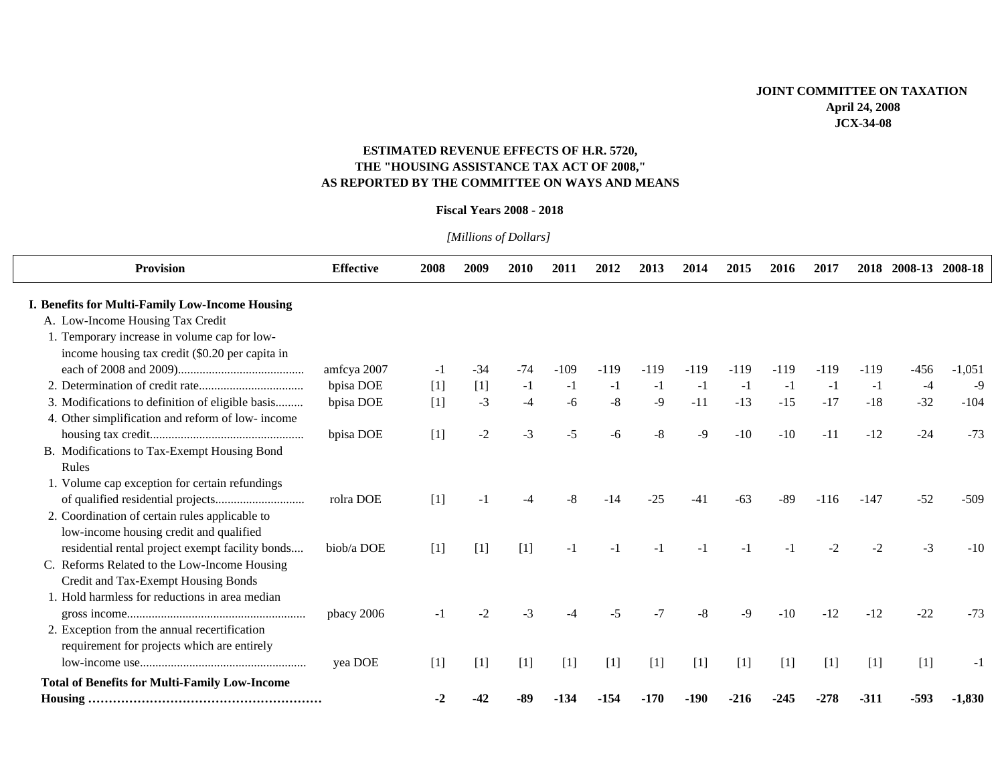## **ESTIMATED REVENUE EFFECTS OF H.R. 5720, THE "HOUSING ASSISTANCE TAX ACT OF 2008," AS REPORTED BY THE COMMITTEE ON WAYS AND MEANS**

## **Fiscal Years 2008 - 2018**

| <b>Provision</b>                                                                                | <b>Effective</b> | 2008  | 2009    | 2010  | 2011   | 2012   | 2013   | 2014   | 2015   | 2016   | 2017   | 2018   | 2008-13 | 2008-18  |
|-------------------------------------------------------------------------------------------------|------------------|-------|---------|-------|--------|--------|--------|--------|--------|--------|--------|--------|---------|----------|
| I. Benefits for Multi-Family Low-Income Housing                                                 |                  |       |         |       |        |        |        |        |        |        |        |        |         |          |
| A. Low-Income Housing Tax Credit                                                                |                  |       |         |       |        |        |        |        |        |        |        |        |         |          |
| 1. Temporary increase in volume cap for low-<br>income housing tax credit (\$0.20 per capita in |                  |       |         |       |        |        |        |        |        |        |        |        |         |          |
|                                                                                                 | amfcya 2007      | $-1$  | $-34$   | $-74$ | $-109$ | $-119$ | $-119$ | $-119$ | $-119$ | $-119$ | $-119$ | $-119$ | $-456$  | $-1,051$ |
|                                                                                                 | bpisa DOE        | $[1]$ | [1]     | $-1$  | $-1$   | $-1$   | $-1$   | $-1$   | $-1$   | $-1$   | $-1$   | $-1$   | $-4$    | $-9$     |
| 3. Modifications to definition of eligible basis                                                | bpisa DOE        | $[1]$ | $-3$    | $-4$  | $-6$   | $-8$   | $-9$   | $-11$  | $-13$  | $-15$  | $-17$  | $-18$  | $-32$   | $-104$   |
| 4. Other simplification and reform of low-income                                                |                  |       |         |       |        |        |        |        |        |        |        |        |         |          |
|                                                                                                 | bpisa DOE        | $[1]$ | $-2$    | $-3$  | $-5$   | -6     | -8     | $-9$   | $-10$  | $-10$  | $-11$  | $-12$  | $-24$   | $-73$    |
| B. Modifications to Tax-Exempt Housing Bond                                                     |                  |       |         |       |        |        |        |        |        |        |        |        |         |          |
| Rules                                                                                           |                  |       |         |       |        |        |        |        |        |        |        |        |         |          |
| 1. Volume cap exception for certain refundings                                                  |                  |       |         |       |        |        |        |        |        |        |        |        |         |          |
|                                                                                                 | rolra DOE        | $[1]$ | -1      |       | -8     | $-14$  | $-25$  | $-41$  | $-63$  | -89    | $-116$ | $-147$ | $-52$   | $-509$   |
| 2. Coordination of certain rules applicable to                                                  |                  |       |         |       |        |        |        |        |        |        |        |        |         |          |
| low-income housing credit and qualified                                                         |                  |       |         |       |        |        |        |        |        |        |        |        |         |          |
| residential rental project exempt facility bonds                                                | biob/a DOE       | $[1]$ | $[1]$   | $[1]$ | $-1$   | -1     |        | -1     |        |        | $-2$   | $-2$   | $-3$    | $-10$    |
| C. Reforms Related to the Low-Income Housing                                                    |                  |       |         |       |        |        |        |        |        |        |        |        |         |          |
| Credit and Tax-Exempt Housing Bonds                                                             |                  |       |         |       |        |        |        |        |        |        |        |        |         |          |
| 1. Hold harmless for reductions in area median                                                  |                  |       |         |       |        |        |        |        |        |        |        |        |         |          |
|                                                                                                 | pbacy 2006       |       | $\cdot$ | $-3$  | -4     | $-5$   | $-7$   | $-8$   | $-9$   | $-10$  | $-12$  | $-12$  | $-22$   | $-73$    |
| 2. Exception from the annual recertification<br>requirement for projects which are entirely     |                  |       |         |       |        |        |        |        |        |        |        |        |         |          |
|                                                                                                 | yea DOE          | $[1]$ | $[1]$   | $[1]$ | $[1]$  | $[1]$  | $[1]$  | $[1]$  | $[1]$  | $[1]$  | $[1]$  | $[1]$  | $[1]$   | -1       |
| <b>Total of Benefits for Multi-Family Low-Income</b>                                            |                  |       |         |       |        |        |        |        |        |        |        |        |         |          |
|                                                                                                 |                  | -2    |         | -89   | -134   | -154   | -170   | -190   | -216   | -245   | -278   | $-311$ | $-593$  | $-1,830$ |

*[Millions of Dollars]*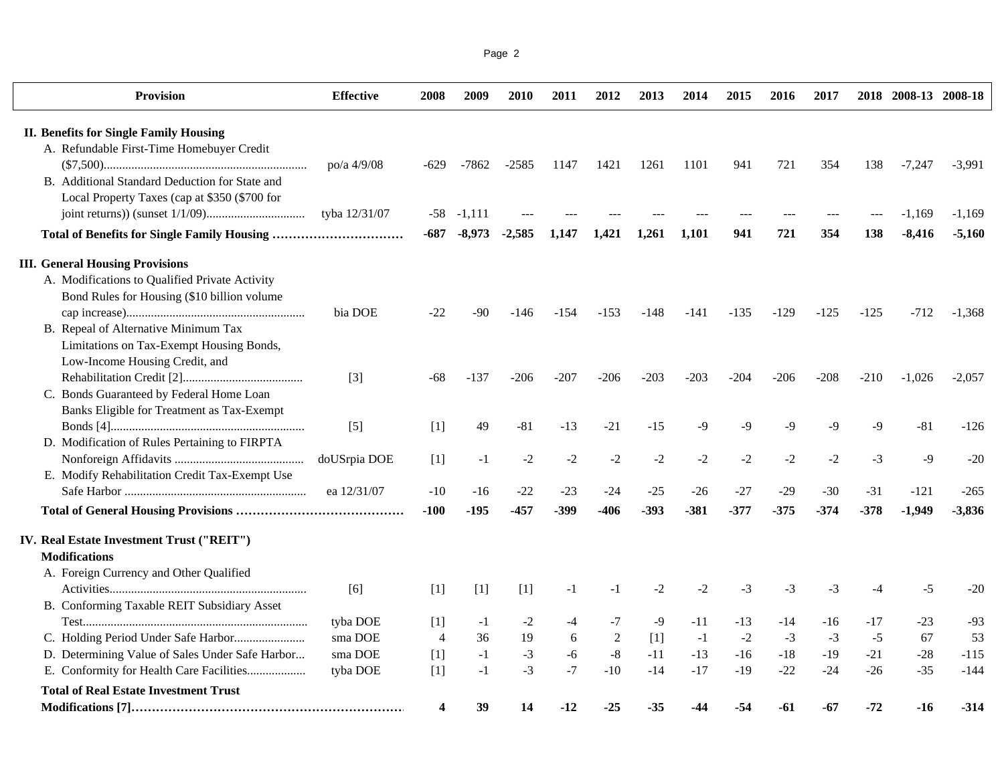| Page 2 |  |
|--------|--|
|        |  |

| <b>Provision</b>                                | <b>Effective</b> | 2008           | 2009           | 2010     | 2011   | 2012   | 2013   | 2014   | 2015   | 2016   | 2017   |        | 2018 2008-13 2008-18 |          |
|-------------------------------------------------|------------------|----------------|----------------|----------|--------|--------|--------|--------|--------|--------|--------|--------|----------------------|----------|
| <b>II. Benefits for Single Family Housing</b>   |                  |                |                |          |        |        |        |        |        |        |        |        |                      |          |
| A. Refundable First-Time Homebuyer Credit       |                  |                |                |          |        |        |        |        |        |        |        |        |                      |          |
|                                                 | po/a 4/9/08      | $-629$         | -7862          | $-2585$  | 1147   | 1421   | 1261   | 1101   | 941    | 721    | 354    | 138    | $-7,247$             | $-3,991$ |
| B. Additional Standard Deduction for State and  |                  |                |                |          |        |        |        |        |        |        |        |        |                      |          |
| Local Property Taxes (cap at \$350 (\$700 for   |                  |                |                |          |        |        |        |        |        |        |        |        |                      |          |
|                                                 | tyba 12/31/07    |                | $-58$ $-1,111$ |          |        |        |        |        |        |        |        |        | $-1,169$             | $-1,169$ |
|                                                 |                  | -687           | $-8,973$       | $-2,585$ | 1,147  | 1,421  | 1,261  | 1,101  | 941    | 721    | 354    | 138    | $-8,416$             | $-5,160$ |
| <b>III. General Housing Provisions</b>          |                  |                |                |          |        |        |        |        |        |        |        |        |                      |          |
| A. Modifications to Qualified Private Activity  |                  |                |                |          |        |        |        |        |        |        |        |        |                      |          |
| Bond Rules for Housing (\$10 billion volume     |                  |                |                |          |        |        |        |        |        |        |        |        |                      |          |
|                                                 | bia DOE          | $-22$          | -90            | -146     | -154   | $-153$ | -148   | -141   | $-135$ | $-129$ | $-125$ | $-125$ | $-712$               | $-1,368$ |
| B. Repeal of Alternative Minimum Tax            |                  |                |                |          |        |        |        |        |        |        |        |        |                      |          |
| Limitations on Tax-Exempt Housing Bonds,        |                  |                |                |          |        |        |        |        |        |        |        |        |                      |          |
| Low-Income Housing Credit, and                  |                  |                |                |          |        |        |        |        |        |        |        |        |                      |          |
|                                                 | $[3]$            | -68            | $-137$         | $-206$   | $-207$ | $-206$ | $-203$ | $-203$ | $-204$ | $-206$ | $-208$ | $-210$ | $-1,026$             | $-2,057$ |
| C. Bonds Guaranteed by Federal Home Loan        |                  |                |                |          |        |        |        |        |        |        |        |        |                      |          |
| Banks Eligible for Treatment as Tax-Exempt      |                  |                |                |          |        |        |        |        |        |        |        |        |                      |          |
|                                                 | $[5]$            | $[1]$          | 49             | $-81$    | $-13$  | $-21$  | $-15$  | $-9$   | $-9$   | $-9$   | $-9$   | $-9$   | $-81$                | $-126$   |
| D. Modification of Rules Pertaining to FIRPTA   |                  |                |                |          |        |        |        |        |        |        |        |        |                      |          |
|                                                 | doUSrpia DOE     | $[1]$          | $-1$           | $-2$     | $-2$   | $-2$   | $-2$   | $-2$   | $-2$   | $-2$   | $-2$   | $-3$   | $-9$                 | $-20$    |
| E. Modify Rehabilitation Credit Tax-Exempt Use  |                  |                |                |          |        |        |        |        |        |        |        |        |                      |          |
|                                                 | ea 12/31/07      | $-10$          | $-16$          | $-22$    | $-23$  | $-24$  | $-25$  | $-26$  | $-27$  | $-29$  | $-30$  | $-31$  | $-121$               | $-265$   |
|                                                 |                  | $-100$         | -195           | $-457$   | -399   | $-406$ | $-393$ | $-381$ | $-377$ | $-375$ | $-374$ | $-378$ | $-1,949$             | $-3,836$ |
| IV. Real Estate Investment Trust ("REIT")       |                  |                |                |          |        |        |        |        |        |        |        |        |                      |          |
| <b>Modifications</b>                            |                  |                |                |          |        |        |        |        |        |        |        |        |                      |          |
| A. Foreign Currency and Other Qualified         |                  |                |                |          |        |        |        |        |        |        |        |        |                      |          |
|                                                 | [6]              | [1]            | $[1]$          | $[1]$    | $-1$   | $-1$   | $-2$   | $-2$   | $-3$   | $-3$   | $-3$   | $-4$   | $-5$                 | $-20$    |
| B. Conforming Taxable REIT Subsidiary Asset     |                  |                |                |          |        |        |        |        |        |        |        |        |                      |          |
|                                                 | tyba DOE         | $[1]$          | $-1$           | $-2$     | $-4$   | -7     | -9     | $-11$  | $-13$  | -14    | -16    | -17    | $-23$                | $-93$    |
|                                                 | sma DOE          | $\overline{4}$ | 36             | 19       | 6      | 2      | $[1]$  | $-1$   | $-2$   | $-3$   | $-3$   | $-5$   | 67                   | 53       |
| D. Determining Value of Sales Under Safe Harbor | sma DOE          | $[1]$          | $-1$           | $-3$     | $-6$   | $-8$   | $-11$  | $-13$  | $-16$  | $-18$  | $-19$  | $-21$  | $-28$                | $-115$   |
| E. Conformity for Health Care Facilities        | tyba DOE         | $[1]$          | $-1$           | $-3$     | $-7$   | $-10$  | $-14$  | $-17$  | $-19$  | $-22$  | $-24$  | $-26$  | $-35$                | $-144$   |
| <b>Total of Real Estate Investment Trust</b>    |                  |                |                |          |        |        |        |        |        |        |        |        |                      |          |
|                                                 |                  | 4              | 39             | 14       | $-12$  | $-25$  | -35    | -44    | -54    | -61    | -67    | $-72$  | $-16$                | $-314$   |